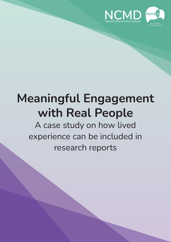



# **Meaningful Engagement with Real People**

A case study on how lived experience can be included in research reports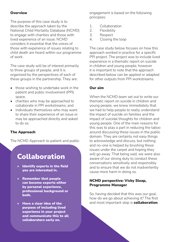#### **Overview**

The purpose of this case study is to describe the approach taken by the National Child Mortality Database (NCMD) to engage with charities and those with lived experience of an issue. NCMD considers it essential that the voices of those with experience of issues relating to child death are heard within our programme of work.

The case study will be of interest primarily to three groups of people, and it is organised by the perspectives of each of these groups in the partnership. They are:

- those wishing to undertake work in the patient and public involvement (PPI) space,
- charities who may be approached to collaborate in PPI workstreams; and
- individuals themselves who may want to share their experience of an issue or may be approached directly and asked to do so.

#### The Approach

The NCMD Approach to patient and public

### Collaboration

- Identify experts in the field you are interested in.
- Remember that people can become experts either by personal experience, professional background or both.
- Have a clear idea of the purpose of including lived experience in your project and communicate this to all collaborators early on.

engagement is based on the following principles:

- 1. Collaboration
- 2. Flexibility
- 3. Respect
- 4. Closing the loop

The case study below focuses on how this approach worked in practice for a specific PPI project. The project was to include lived experience in a thematic report on suicide in children and young people, however it is important to note that the approach described below can be applied or adapted for other outputs from PPI workstreams.

#### Our aim

When the NCMD team set out to write our thematic report on suicide in children and young people, we knew immediately that we had to help people to really understand the impact of suicide on families and the impact of suicidal thoughts for children and young people. One of the main reasons for this was to play a part in reducing the taboo around discussing these issues in the public domain. They are certainly not easy things to acknowledge and discuss, but nothing and no-one is helped by brushing these issues under the carpet and hoping they will go away. That being said, we were also aware of our strong duty to conduct these conversations sensitively and responsibly and to ensure that we do not inadvertently cause more harm in doing so.

#### NCMD perspective: Vicky Sleap, Programme Manager

So, having decided that this was our goal. how do we go about achieving it? The first and most important step is **collaboration**.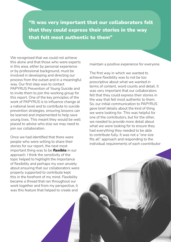"It was very important that our collaborators felt that they could express their stories in the way that felt most authentic to them"

We recognised that we could not achieve this alone and that those who were experts in this area, either by personal experience or by professional background, must be involved in developing and directing our process from the outset and in a meaningful way. Our first step was to contact PAPYRUS Prevention of Young Suicide and to invite them to join the working group for this report. One of the key principles of the work of PAPYRUS is to influence change at a national level and to contribute to suicide prevention strategies, ensuring lessons can be learned and implemented to help save young lives. This meant they would be well placed to advise who else we may need to join our collaboration.

Once we had identified that there were people who were willing to share their stories for our report, the next most important thing was to be flexible in our approach. I think the sensitivity of the topic helped to highlight the importance of flexibility and perhaps my own anxiety about ensuring that our collaborators were properly supported to contribute kept this in the forefront of my mind. Flexibility became a thread that ran throughout our work together and from my perspective, it was this feature that helped to create and

maintain a positive experience for everyone.

The first way in which we wanted to achieve flexibility was to not be too prescriptive about what we wanted in terms of content, word counts and detail. It was very important that our collaborators felt that they could express their stories in the way that felt most authentic to them. So, our initial communication to PAPYRUS gave brief details about the kind of thing we were looking for. This was helpful for one of the contributors, but for the other, we needed to provide more detail about what we were looking for to ensure they had everything they needed to be able to contribute fully. It was not a "one size fits all" approach and responding to the individual requirements of each coontributor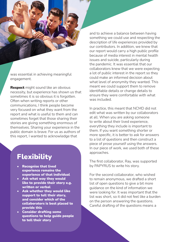was essential in achieving meaningful engagement.

**Respect** might sound like an obvious necessity, but experience has shown us that sometimes it is so obvious it is forgotten. Often when writing reports or other communications, I think people become very focused on what they want from the report and what is useful to them and can sometimes forget that those sharing their stories are giving something enormous of themselves. Sharing your experience in the public domain is brave. For us as authors of this report, I wanted to acknowledge that

## Flexibility

- Recognise that lived experience remains the experience of that individual
- Ask what way they would like to provide their story e.g. written or verbal
- Ask whether they would like support to tell their story, and consider which of the collaborators is best placed to provide this
- Consider drafting some questions to help guide people to tell their story

and to achieve a balance between having something we could use and respecting the description of life experiences provided by our contributors. In addition, we knew that our report would carry a high public profile because of media interest in mental health issues and suicide, particularly during the pandemic. It was essential that our collaborators knew that we were expecting a lot of public interest in the report so they could make an informed decision about what level of anonymity they wanted. This meant we could support them to remove identifiable details or change details to ensure they were comfortable with what was included.

In practice, this meant that NCMD did not edit what was written by our collaborators at all. When you are asking someone to write about their lived experience, everything they include is important to them. If you want something shorter or more specific, it is better to ask for answers to a list of questions and then construct a piece of prose yourself using the answers. In our piece of work, we used both of these approaches.

The first collaborator, Ray, was supported by PAPYRUS to write his story.

For the second collaborator, who wished to remain anonymous, we drafted a short list of open questions to give a bit more guidance on the kind of information we were looking for. It was important that the list was short, so it did not feel like a burden on the person answering the questions. Careful drafting of the questions means a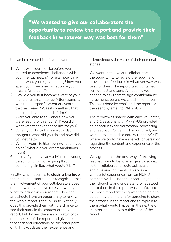"We wanted to give our collaborators the opportunity to review the report and provide their feedback in whatever way was best for them"

lot can be revealed in a few answers.

- 1. What was your life like before you started to experience challenges with your mental health? (for example, think about what you enjoyed doing? how you spent your free time? what were your dreams/ambitions?)
- 2. How did you first become aware of your mental health challenges? (for example, was there a specific event or events that happened? Was it something that happened over a period of time?)
- 3. Were you able to talk about how you were feeling with anyone? If you did, what was that experience like for you?
- 4. When you started to have suicidal thoughts, what did you do and how did you get help?
- 5. What is your life like now? (what are you doing? what are you dreams/ambitions now?)
- 6. Lastly, if you have any advice for a young person who might be going through something similar, what would it be?

Finally, when it comes to **closing the loop**, the most important thing is recognising that the involvement of your collaborators does not end when you have received what you want to include in your report. They can and should have an opportunity to review the whole report if they wish to. Not only does this provide them with the chance to see their story in the context of the whole report, but it gives them an opportunity to read the rest of the report and give their feedback and reflections on the other parts of it. This validates their experience and

acknowledges the value of their personal stories.

We wanted to give our collaborators the opportunity to review the report and provide their feedback in whatever way was best for them. The report itself contained confidential and sensitive data so we needed to ask them to sign confidentiality agreements before we could send it over. This was done by email and the report was then sent by email to PAPYRUS.

The report was shared with each volunteer, and 1:1 sessions with PAPYRUS provided an opportunity for clarification, processing and feedback. Once this had occurred, we worked to establish a date with the NCMD where we could have a shared conversation regarding the content and experience of the process.

We agreed that the best way of receiving feedback would be to arrange a video call so the collaborators could ask questions and give any comments. This was a wonderful experience from an NCMD perspective. Having the opportunity to hear their thoughts and understand what stood out to them in the report was helpful, but the most important thing was to be able to personally thank them for agreeing to share their stories in the report and to explain to them what would happen in the next few months leading up to publication of the report.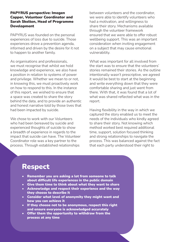#### PAPYRUS perspective: Imogen Capper, Volunteer Coordinator and Sarah Skelton, Head of Programme Development

PAPYRUS was founded on the personal experiences of loss due to suicide. Those experiences drove a prevention agenda, informed and driven by the desire for it not to happen to another family.

As organisations and professionals, we must recognise that whilst we hold knowledge and experience, we also have a position in relation to systems of power and privilege. Whether we mean to or not, in knowing this, we must proactively work on how to respond to this. In the instance of this report, we wished to ensure that a space was created to share the story behind the data, and to provide an authentic and honest narrative told by those lives that had been impacted by suicide.

We chose to work with our Volunteers who had been bereaved by suicide and experienced thoughts of suicide to show a breadth of experience in regards to the impact that suicide can have. The Volunteer Coordinator role was a key partner to the process. Through established relationships

between volunteers and the coordinator, we were able to identify volunteers who had a motivation, and willingness to share their story. Mechanisms available through the volunteer framework ensured that we were able to offer robust wellbeing support. This was an important consideration when inviting engagement on a subject that may cause emotional vulnerability.

What was important for all involved from the start was to ensure that the volunteers' stories remained their stories. As the outline intentionally wasn't prescriptive, we agreed it would be best to start at the beginning and write everything down that they were comfortable sharing and just went from there. With that, it was found that a lot of what was shared reflected what was in the report.

Having flexibility in the way in which we captured the story enabled us to meet the needs of the individuals who kindly agreed to share their story. Not knowing which method worked best required additional time, support, solution focused thinking and strong relationships to navigate the process. This was balanced against the fact that each party understood their right to

## Respect

- Remember you are asking a lot from someone to talk about difficult life experiences in the public domain
- Give them time to think about what they want to share
- Acknowledge and respect their experience and the way they choose to describe it
- Consider what level of anonymity they might want and how you can achieve it
- If they choose not to be anonymous, respect this right and ensure everyone is acknowledged accurately
- Offer them the opportunity to withdraw from the process at any time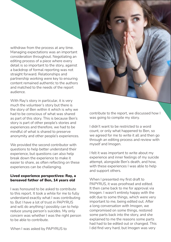withdraw from the process at any time. Managing expectations was an important consideration throughout. Negotiating an editing process of a piece where every detail is so important to the story, against a backdrop of formal reporting was not straight forward. Relationships and partnership working were key to ensuring content remained authentic to the authors and matched to the needs of the report audience.

With Ray's story in particular, it is very much the volunteer's story but there is the story of Ben within it which is why we had to be conscious of what was shared as part of this story. This is because Ben's story is part of other people's stories and experiences and therefore, we had to be mindful of what is shared to preserve anonymity and other people's experiences.

We provided the second contributor with questions to help better understand their experience, but questions can also help break down the experience to make it easier to share, as often reflecting on these experiences can be challenging.

#### Lived experience perspectives: Ray, a bereaved father of Ben, 14 years old

I was honoured to be asked to contribute to this report. It took a while for me to fully understand exactly what I was contributing to. But I have a lot of trust in PAPYRUS and will do anything I possibly can to help reduce young person's suicides. My only concern was whether I was the right person to be able to contribute.

contribute to the report, we discussed how I was going to compile my story.

I didn't want to be restricted to a word count, or only what happened to Ben, so we agreed for me to write it all and then go through an editing process and review with myself and Imogen.

I felt it was important to write about my experience and inner feelings of my suicide attempt, alongside Ben's death, and how, with these experiences I was able to help and support others.

When I presented my first draft to PAPYRUS, it was proofread and edited. It then came back to me for approval via Imogen. I wasn't entirely happy with the edit due to some things, which were very important to me, being edited out. After a long conversation with Imogen, we compromised on some things, restored some parts back into the story, and she explained to me the reasons some parts had had to be edited out or changed. This I did find very hard, but Imogen was very

When I was asked by PAPYRUS to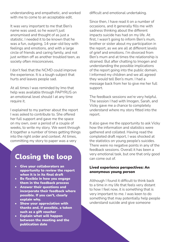understanding and empathetic, and worked with me to come to an acceptable edit.

It was very important to me that Ben's name was used, so he wasn't just anonymised and thought of as just a statistic. I needed it to be known that he was a fun, outgoing, 14-year-old boy with feelings and emotions, and with a large circle of friends and caring family, and not just written off as another troubled teen, as society often misconceives.

I don't feel that the NCMD could improve the experience. It is a tough subject that hurts and leaves people sad.

At all times I was reminded by Imo that help was available through PAPYRUS on an emotional level should I at any time require it.

I explained to my partner about the report I was asked to contribute to. She offered her full support and gave me the space on my own, over a period of a couple of weeks, to write my story. We went through it together a number of times getting things into the right order and context. At times, committing my story to paper was a very

## Closing the loop

- Give your collaborators an opportunity to review the report when it is in its final draft
- Be flexible in how you engage them in the feedback process
- Answer their questions and incorporate their feedback where possible. If you can't, clearly explain why.
- Show your appreciation with thanks and, if possible, a token such as a gift voucher
- **Explain what will happen** between the meeting and the publication date

difficult and emotional undertaking.

Since then, I have read it on a number of occasions, and it generally fills me with sadness thinking about the different impacts suicide has had on my life. At first, I wasn't going to inform Ben's mum, brother or sister about my participation in the report, as we are all at different levels of grief and emotions. I'm divorced from Ben's mum and at times the relationship is strained. But after chatting to Imogen and understanding the possible implications of the report going into the public domain, I informed my children and we all agreed they would tell Ben's mum. I had a message back from her to give me her full support.

The feedback sessions we're very helpful. The session I had with Imogen, Sarah, and Vicky gave me a chance to completely understand where my story fitted into the report.

It also gave me the opportunity to ask Vicky how the information and statistics were gathered and collated. Having read the completed draft report, I was shocked at the statistics on young people's suicides. There were no negative points in any of the feedback sessions. Overall it has been a very emotional task, but one that only good can come out of.

#### Lived experience perspectives: An anonymous young person

Although I found it difficult to think back to a time in my life that feels very distant to how I feel now, it is something that is very important to me. I was keen to do something that may potentially help people understand suicide and give someone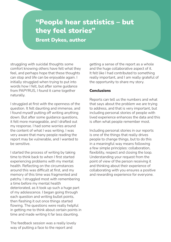# "People hear statistics – but they feel stories"

Brent Dykes, author

struggling with suicidal thoughts some comfort knowing others have felt what they feel, and perhaps hope that these thoughts can stop and life can be enjoyable again. I initially struggled when trying to put into words how I felt, but after some guidance from PAPYRUS, I found it came together naturally.

I struggled at first with the openness of the question. It felt daunting and immense, and I found myself putting off writing anything down. But after some guidance questions, it felt more manageable, and I drafted out my response. I had some worries around the content of what I was writing. I was very aware that many people reading the report may be vulnerable, and I wanted to be sensitive.

I started the process of writing by taking time to think back to when I first started experiencing problems with my mental health. Reflecting on the circumstances around this was difficult at first, and my memory of this time was fragmented and patchy. I struggled most with remembering a time before my mental health deteriorated, as it took up such a huge part of my adolescence. I began going through each question and writing bullet points, then fleshing it out once things started flowing. The questions were really helpful in getting me to think about certain points in time and made writing it far less daunting.

The feedback session was a really lovely way of putting a face to the report and

getting a sense of the report as a whole and the huge collaborative aspect of it. It felt like I had contributed to something really important, and I am really grateful of the opportunity to share my story.

#### **Conclusions**

Reports can tell us the numbers and what that says about the problem we are trying to address, and that is very important, but including personal stories of people with lived experience enhances the data and this is often what people remember most.

Including personal stories in our reports is one of the things that really drives people to change things, but to do this in a meaningful way means following a few simple principles: collaboration, flexibility, respect and closing the loop. Understanding your request from the point of view of the person receiving it and thinking about their experience of collaborating with you ensures a positive and rewarding experience for everyone.